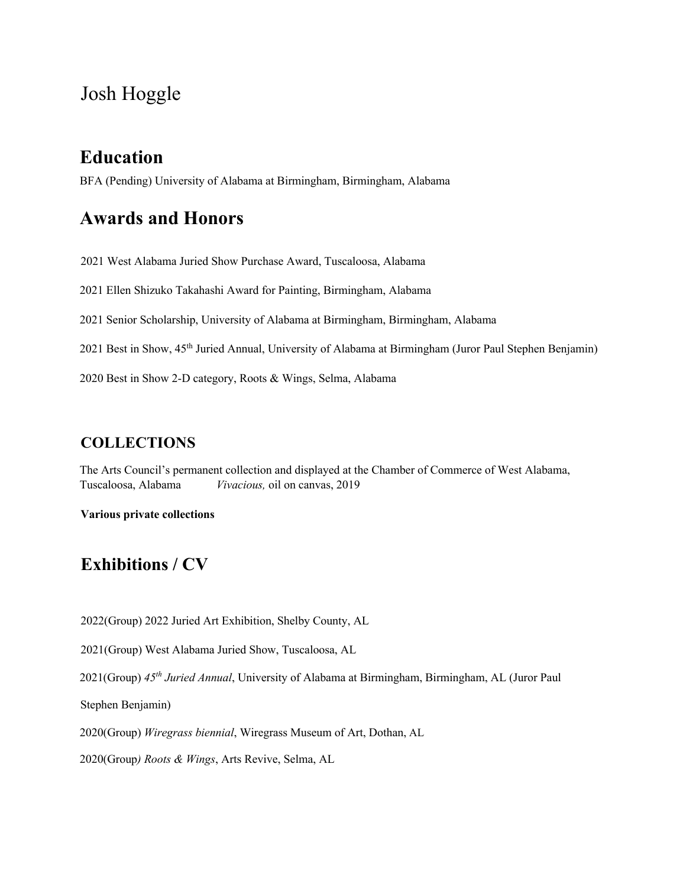# Josh Hoggle

### **Education**

BFA (Pending) University of Alabama at Birmingham, Birmingham, Alabama

## **Awards and Honors**

2021 West Alabama Juried Show Purchase Award, Tuscaloosa, Alabama

2021 Ellen Shizuko Takahashi Award for Painting, Birmingham, Alabama

2021 Senior Scholarship, University of Alabama at Birmingham, Birmingham, Alabama

2021 Best in Show, 45<sup>th</sup> Juried Annual, University of Alabama at Birmingham (Juror Paul Stephen Benjamin)

2020 Best in Show 2-D category, Roots & Wings, Selma, Alabama

#### **COLLECTIONS**

The Arts Council's permanent collection and displayed at the Chamber of Commerce of West Alabama, Tuscaloosa, Alabama *Vivacious,* oil on canvas, 2019

**Various private collections** 

# **Exhibitions / CV**

2022(Group) 2022 Juried Art Exhibition, Shelby County, AL

2021(Group) West Alabama Juried Show, Tuscaloosa, AL

2021(Group) *45th Juried Annual*, University of Alabama at Birmingham, Birmingham, AL (Juror Paul

Stephen Benjamin)

2020(Group) *Wiregrass biennial*, Wiregrass Museum of Art, Dothan, AL

2020(Group*) Roots & Wings*, Arts Revive, Selma, AL